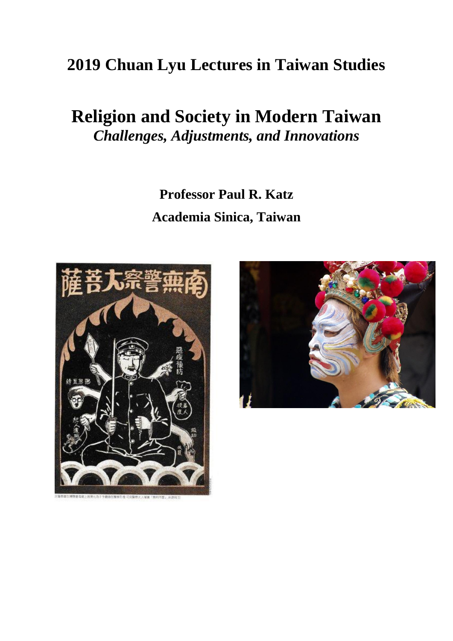## **2019 Chuan Lyu Lectures in Taiwan Studies**

# **Religion and Society in Modern Taiwan** *Challenges, Adjustments, and Innovations*

**Professor Paul R. Katz Academia Sinica, Taiwan**



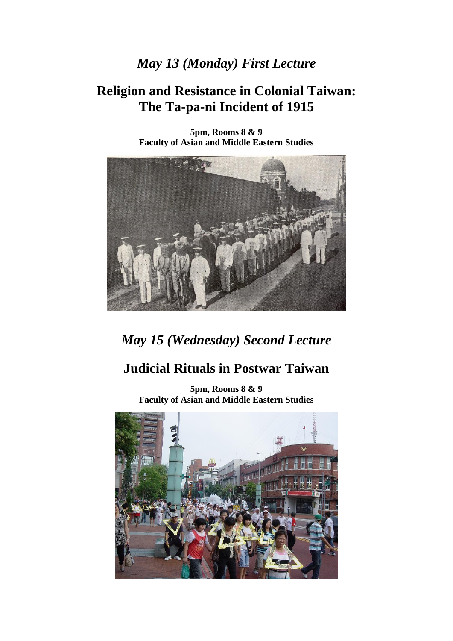#### *May 13 (Monday) First Lecture*

#### **Religion and Resistance in Colonial Taiwan: The Ta-pa-ni Incident of 1915**



**5pm, Rooms 8 & 9 Faculty of Asian and Middle Eastern Studies**

### *May 15 (Wednesday) Second Lecture*

### **Judicial Rituals in Postwar Taiwan**

**5pm, Rooms 8 & 9 Faculty of Asian and Middle Eastern Studies**